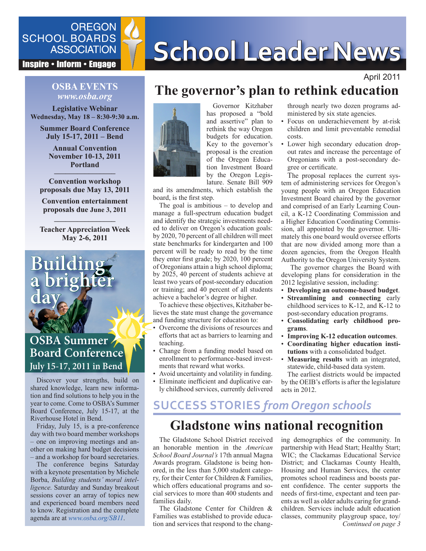

**Inspire • Inform • Engage** 

### **OSBA EVENTS** *www.osba.org*

**Legislative Webinar Wednesday, May 18 – 8:30-9:30 a.m.**

**Summer Board Conference July 15-17, 2011 – Bend**

> **Annual Convention November 10-13, 2011 Portland**

**–––––––––––––––– Convention workshop proposals due May 13, 2011**

**Convention entertainment proposals due June 3, 2011**

**–––––––––––––––– Teacher Appreciation Week May 2-6, 2011**

**a brighter**

**Bui** 

**day**

### **OSBA Summer Board Conference July 15-17, 2011 in Bend**

Discover your strengths, build on shared knowledge, learn new information and find solutions to help you in the year to come. Come to OSBA's Summer Board Conference, July 15-17, at the Riverhouse Hotel in Bend.

Friday, July 15, is a pre-conference day with two board member workshops – one on improving meetings and another on making hard budget decisions – and a workshop for board secretaries.

The conference begins Saturday with a keynote presentation by Michele Borba, *Building students' moral intelligence.* Saturday and Sunday breakout sessions cover an array of topics new and experienced board members need to know. Registration and the complete agenda are at *[www.osba.org/SB11](http://www.osba.org/SB11)*.

# SCHOOL BOARDS<br>ASSOCIATION SCHOOL Leader News

### April 2011

# **The governor's plan to rethink education**



Governor Kitzhaber has proposed a "bold and assertive" plan to rethink the way Oregon budgets for education. Key to the governor's proposal is the creation of the Oregon Education Investment Board by the Oregon Legislature. Senate Bill 909

and its amendments, which establish the board, is the first step.

The goal is ambitious – to develop and manage a full-spectrum education budget and identify the strategic investments needed to deliver on Oregon's education goals: by 2020, 70 percent of all children will meet state benchmarks for kindergarten and 100 percent will be ready to read by the time they enter first grade; by 2020, 100 percent of Oregonians attain a high school diploma; by 2025, 40 percent of students achieve at least two years of post-secondary education or training; and 40 percent of all students achieve a bachelor's degree or higher.

To achieve these objectives, Kitzhaber believes the state must change the governance and funding structure for education to:

- Overcome the divisions of resources and efforts that act as barriers to learning and teaching.
- Change from a funding model based on enrollment to performance-based investments that reward what works.
- Avoid uncertainty and volatility in funding.
- Eliminate inefficient and duplicative early childhood services, currently delivered

through nearly two dozen programs administered by six state agencies.

- Focus on underachievement by at-risk children and limit preventable remedial costs.
- Lower high secondary education dropout rates and increase the percentage of Oregonians with a post-secondary degree or certificate.

The proposal replaces the current system of administering services for Oregon's young people with an Oregon Education Investment Board chaired by the governor and comprised of an Early Learning Council, a K-12 Coordinating Commission and a Higher Education Coordinating Commission, all appointed by the governor. Ultimately this one board would oversee efforts that are now divided among more than a dozen agencies, from the Oregon Health Authority to the Oregon University System.

 The governor charges the Board with developing plans for consideration in the 2012 legislative session, including:

- **Developing an outcome-based budget**.
- **Streamlining** and connecting early childhood services to K-12, and K-12 to post-secondary education programs.
- **Consolidating early childhood programs**.
- **Improving K-12 education outcomes**.
- **Coordinating higher education institutions** with a consolidated budget.
- **Measuring results** with an integrated, statewide, child-based data system.

The earliest districts would be impacted by the OEIB's efforts is after the legislature acts in 2012.

# **SUCCESS STORIES** *from Oregon schools*

## **Gladstone wins national recognition**

The Gladstone School District received an honorable mention in the *American School Board Journal's* 17th annual Magna Awards program. Gladstone is being honored, in the less than 5,000 student category, for their Center for Children & Families, which offers educational programs and social services to more than 400 students and families daily.

The Gladstone Center for Children & Families was established to provide education and services that respond to the chang-

*Continued on page 3* ing demographics of the community. In partnership with Head Start; Healthy Start; WIC; the Clackamas Educational Service District; and Clackamas County Health, Housing and Human Services, the center promotes school readiness and boosts parent confidence. The center supports the needs of first-time, expectant and teen parents as well as older adults caring for grandchildren. Services include adult education classes, community playgroup space, toy/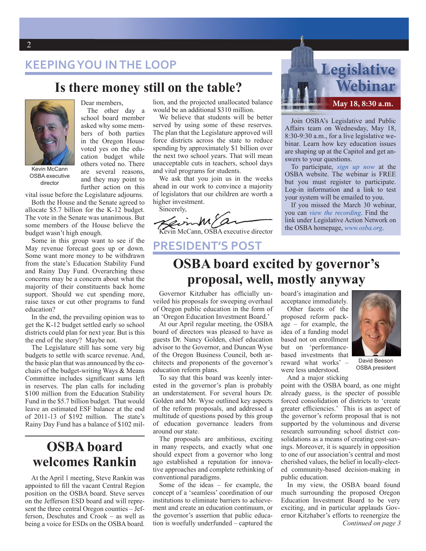### **KEEPING YOU IN THE LOOP**

### **Is there money still on the table?**



OSBA executive director

Dear members, The other day a school board member asked why some members of both parties in the Oregon House voted yes on the education budget while others voted no. There are several reasons, and they may point to further action on this

vital issue before the Legislature adjourns.

Both the House and the Senate agreed to allocate \$5.7 billion for the K-12 budget. The vote in the Senate was unanimous. But some members of the House believe the budget wasn't high enough.

Some in this group want to see if the May revenue forecast goes up or down. Some want more money to be withdrawn from the state's Education Stability Fund and Rainy Day Fund. Overarching these concerns may be a concern about what the majority of their constituents back home support. Should we cut spending more, raise taxes or cut other programs to fund education?

In the end, the prevailing opinion was to get the K-12 budget settled early so school districts could plan for next year. But is this the end of the story? Maybe not.

The Legislature still has some very big budgets to settle with scarce revenue. And, the basic plan that was announced by the cochairs of the budget-writing Ways & Means Committee includes significant sums left in reserves. The plan calls for including \$100 million from the Education Stability Fund in the \$5.7 billion budget. That would leave an estimated ESF balance at the end of 2011-13 of \$192 million. The state's Rainy Day Fund has a balance of \$102 mil-

## **OSBA board welcomes Rankin**

At the April 1 meeting, Steve Rankin was appointed to fill the vacant Central Region position on the OSBA board. Steve serves on the Jefferson ESD board and will represent the three central Oregon counties – Jefferson, Deschutes and Crook – as well as being a voice for ESDs on the OSBA board.

lion, and the projected unallocated balance would be an additional \$310 million.

We believe that students will be better served by using some of these reserves. The plan that the Legislature approved will force districts across the state to reduce spending by approximately \$1 billion over the next two school years. That will mean unacceptable cuts in teachers, school days and vital programs for students.

We ask that you join us in the weeks ahead in our work to convince a majority of legislators that our children are worth a higher investment.

Sincerely,

Kevin McCann, OSBA executive director

### **PRESIDENT'S POST**

# **Legislative Webinar May 18, 8:30 a.m.**

Join OSBA's Legislative and Public Affairs team on Wednesday, May 18, 8:30-9:30 a.m., for a live legislative webinar. Learn how key education issues are shaping up at the Capitol and get answers to your questions.

To participate, *[sign up now](http://www.osba.org/Calendar/Events/Webinar_legupdate-March-2011.aspx)* at the OSBA website. The webinar is FREE but you must register to participate. Log-in information and a link to test your system will be emailed to you.

If you missed the March 30 webinar, you can *vie[w the recording](http://www.instantpresenter.com/WebConference/RecordingDefault.aspx?c_psrid=E950DC858249)*. Find the link under Legislative Action Network on the OSBA homepage, *<www.osba.org>*.

# **OSBA board excited by governor's proposal, well, mostly anyway**

Governor Kitzhaber has officially unveiled his proposals for sweeping overhaul of Oregon public education in the form of an 'Oregon Education Investment Board.'

At our April regular meeting, the OSBA board of directors was pleased to have as guests Dr. Nancy Golden, chief education advisor to the Governor, and Duncan Wyse of the Oregon Business Council, both architects and proponents of the governor's education reform plans.

To say that this board was keenly interested in the governor's plan is probably an understatement. For several hours Dr. Golden and Mr. Wyse outlined key aspects of the reform proposals, and addressed a multitude of questions posed by this group of education governance leaders from around our state.

The proposals are ambitious, exciting in many respects, and exactly what one should expect from a governor who long ago established a reputation for innovative approaches and complete rethinking of conventional paradigms.

Some of the ideas – for example, the concept of a 'seamless' coordination of our institutions to eliminate barriers to achievement and create an education continuum, or the governor's assertion that public education is woefully underfunded – captured the board's imagination and acceptance immediately.

Other facets of the proposed reform package – for example, the idea of a funding model based not on enrollment but on 'performancebased investments that reward what works' – were less understood.



David Beeson OSBA president

And a major sticking

point with the OSBA board, as one might already guess, is the specter of possible forced consolidation of districts to 'create greater efficiencies.' This is an aspect of the governor's reform proposal that is not supported by the voluminous and diverse research surrounding school district consolidations as a means of creating cost-savings. Moreover, it is squarely in opposition to one of our association's central and most cherished values, the belief in locally-elected community-based decision-making in public education.

*Continued on page 3* In my view, the OSBA board found much surrounding the proposed Oregon Education Investment Board to be very exciting, and in particular applauds Governor Kitzhaber's efforts to reenergize the

#### 2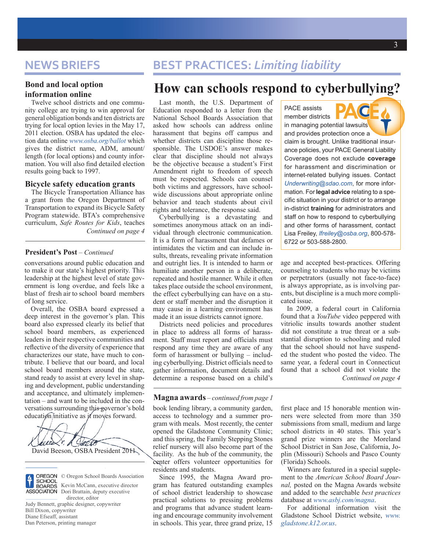### **Bond and local option information online**

Twelve school districts and one community college are trying to win approval for general obligation bonds and ten districts are trying for local option levies in the May 17, 2011 election. OSBA has updated the election data online *[www.osba.org/ballot](http://www.osba.org/ballot)* which gives the district name, ADM, amount/ length (for local options) and county information. You will also find detailed election results going back to 1997.

#### **Bicycle safety education grants**

The Bicycle Transportation Alliance has a grant from the Oregon Department of Transportation to expand its Bicycle Safety Program statewide. BTA's comprehensive curriculum, *Safe Routes for Kids*, teaches *Continued on page 4*

#### **President's Post** *– Continued*

conversations around public education and to make it our state's highest priority. This leadership at the highest level of state government is long overdue, and feels like a blast of fresh air to school board members of long service.

Overall, the OSBA board expressed a deep interest in the governor's plan. This board also expressed clearly its belief that school board members, as experienced leaders in their respective communities and reflective of the diversity of experience that characterizes our state, have much to contribute. I believe that our board, and local school board members around the state, stand ready to assist at every level in shaping and development, public understanding and acceptance, and ultimately implementation – and want to be included in the conversations surrounding this governor's bold education initiative as it moves forward.





© Oregon School Boards Association Kevin McCann, executive director Dori Brattain, deputy executive director, editor

Judy Bennett, graphic designer, copywriter Bill Dixon, copywriter Diane Efseaff, assistant Dan Peterson, printing manager

### **NEWS BRIEFS BEST PRACTICES:** *Limiting liability*

### **How can schools respond to cyberbullying?**

Last month, the U.S. Department of Education responded to a letter from the National School Boards Association that asked how schools can address online harassment that begins off campus and whether districts can discipline those responsible. The USDOE's answer makes clear that discipline should not always be the objective because a student's First Amendment right to freedom of speech must be respected. Schools can counsel both victims and aggressors, have schoolwide discussions about appropriate online behavior and teach students about civil rights and tolerance, the response said.

Cyberbullying is a devastating and sometimes anonymous attack on an individual through electronic communication. It is a form of harassment that defames or intimidates the victim and can include insults, threats, revealing private information and outright lies. It is intended to harm or humiliate another person in a deliberate, repeated and hostile manner. While it often takes place outside the school environment, the effect cyberbullying can have on a student or staff member and the disruption it may cause in a learning environment has made it an issue districts cannot ignore.

Districts need policies and procedures in place to address all forms of harassment. Staff must report and officials must respond any time they are aware of any form of harassment or bullying – including cyberbullying. District officials need to gather information, document details and determine a response based on a child's

#### **Magna awards** – *continued from page 1*

book lending library, a community garden, access to technology and a summer program with meals. Most recently, the center opened the Gladstone Community Clinic; and this spring, the Family Stepping Stones relief nursery will also become part of the facility. As the hub of the community, the center offers volunteer opportunities for residents and students.

Since 1995, the Magna Award program has featured outstanding examples of school district leadership to showcase practical solutions to pressing problems and programs that advance student learning and encourage community involvement in schools. This year, three grand prize, 15 first place and 15 honorable mention winners were selected from more than 350 submissions from small, medium and large school districts in 40 states. This year's grand prize winners are the Moreland School District in San Jose, California, Joplin (Missouri) Schools and Pasco County (Florida) Schools.

Winners are featured in a special supplement to the *American School Board Journal,* posted on the Magna Awards website and added to the searchable *best practices* database at *<www.asbj.com/magna>*.

For additional information visit the Gladstone School District website, *[www.](www.gladstone.k12.or.us) [gladstone.k12.or.us](www.gladstone.k12.or.us)*.

PACE assists member districts in managing potential lawsuits and provides protection once a claim is brought. Unlike traditional insurance policies, your PACE General Liability Coverage does not exclude **coverage** for harassment and discrimination or internet-related bullying issues. Contact *Underwriting@sdao.com*, for more information. For **legal advice** relating to a specific situation in your district or to arrange in-district **training** for administrators and staff on how to respond to cyberbullying and other forms of harassment, contact Lisa Freiley, *[lfreiley@osba.org](mailto:lfreiley%40osba.org?subject=)*, 800-578- 6722 or 503-588-2800.

age and accepted best-practices. Offering counseling to students who may be victims or perpetrators (usually not face-to-face) is always appropriate, as is involving parents, but discipline is a much more complicated issue.

In 2009, a federal court in California found that a *YouTube* video peppered with vitriolic insults towards another student did not constitute a true threat or a substantial disruption to schooling and ruled that the school should not have suspended the student who posted the video. The same year, a federal court in Connecticut found that a school did not violate the *Continued on page 4*